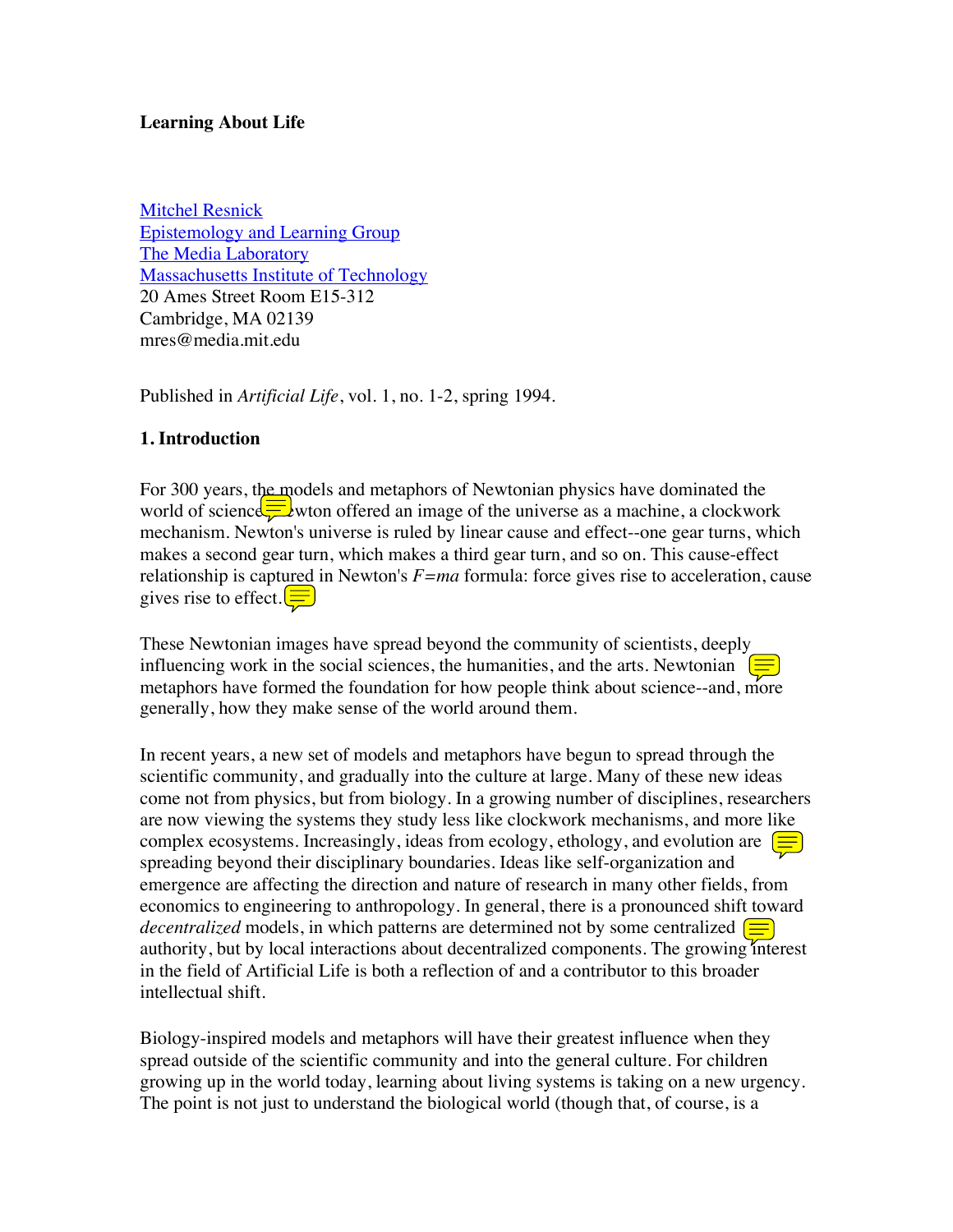### **Learning About Life**

Mitchel Resnick Epistemology and Learning Group The Media Laboratory Massachusetts Institute of Technology 20 Ames Street Room E15-312 Cambridge, MA 02139 mres@media.mit.edu

Published in *Artificial Life*, vol. 1, no. 1-2, spring 1994.

## **1. Introduction**

For 300 years, the models and metaphors of Newtonian physics have dominated the world of science. wton offered an image of the universe as a machine, a clockwork mechanism. Newton's universe is ruled by linear cause and effect--one gear turns, which makes a second gear turn, which makes a third gear turn, and so on. This cause-effect relationship is captured in Newton's *F=ma* formula: force gives rise to acceleration, cause gives rise to effect. $\left(\frac{\overline{\phantom{0}}\phantom{0}}{\overline{\phantom{0}}\phantom{0}}\right)$ 

These Newtonian images have spread beyond the community of scientists, deeply influencing work in the social sciences, the humanities, and the arts. Newtonian  $\equiv$ metaphors have formed the foundation for how people think about science--and, more generally, how they make sense of the world around them.

In recent years, a new set of models and metaphors have begun to spread through the scientific community, and gradually into the culture at large. Many of these new ideas come not from physics, but from biology. In a growing number of disciplines, researchers are now viewing the systems they study less like clockwork mechanisms, and more like complex ecosystems. Increasingly, ideas from ecology, ethology, and evolution are  $\equiv$ spreading beyond their disciplinary boundaries. Ideas like self-organization and emergence are affecting the direction and nature of research in many other fields, from economics to engineering to anthropology. In general, there is a pronounced shift toward *decentralized* models, in which patterns are determined not by some centralized  $\equiv$ authority, but by local interactions about decentralized components. The growing interest in the field of Artificial Life is both a reflection of and a contributor to this broader intellectual shift.

Biology-inspired models and metaphors will have their greatest influence when they spread outside of the scientific community and into the general culture. For children growing up in the world today, learning about living systems is taking on a new urgency. The point is not just to understand the biological world (though that, of course, is a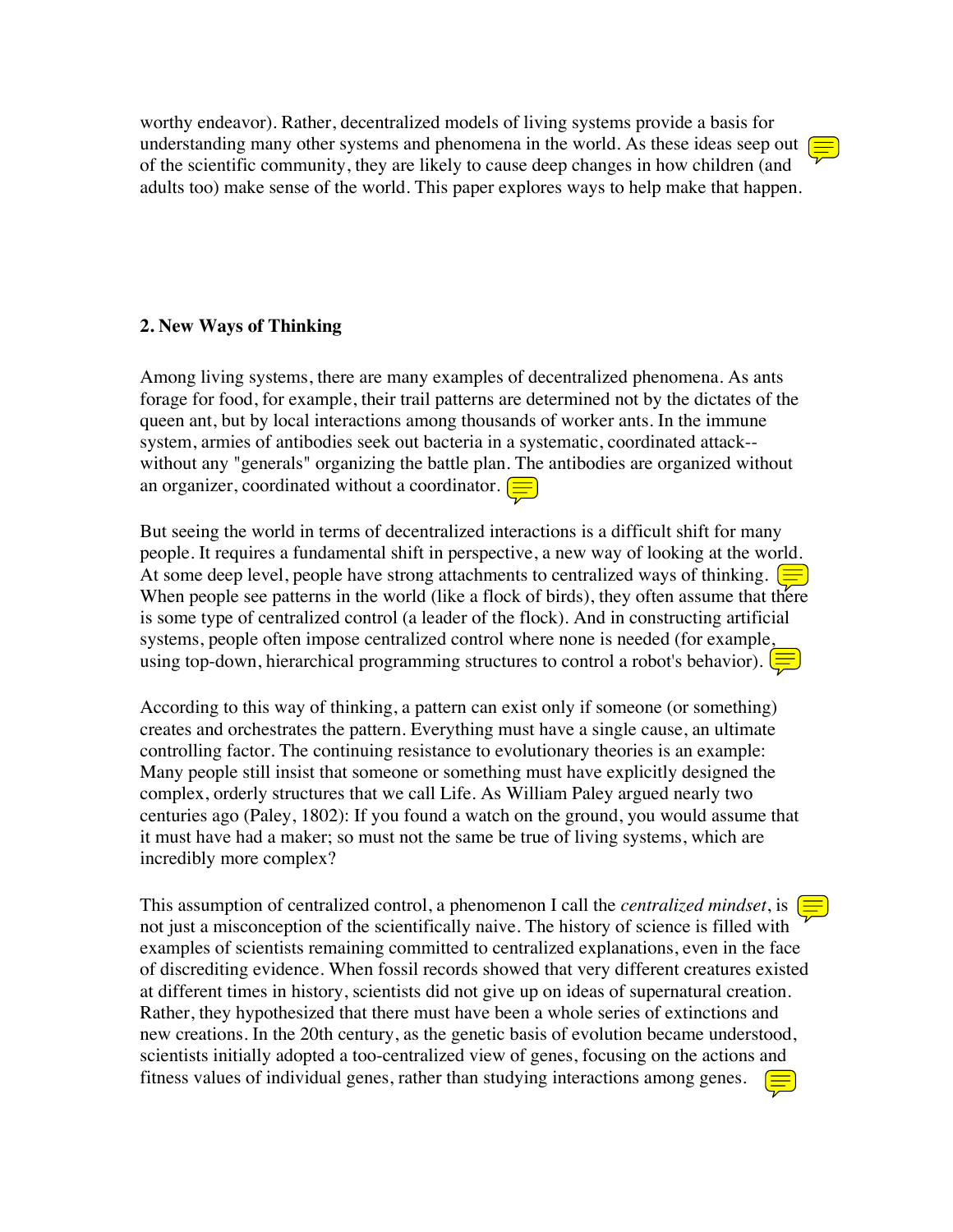worthy endeavor). Rather, decentralized models of living systems provide a basis for understanding many other systems and phenomena in the world. As these ideas seep out of the scientific community, they are likely to cause deep changes in how children (and adults too) make sense of the world. This paper explores ways to help make that happen.

#### **2. New Ways of Thinking**

Among living systems, there are many examples of decentralized phenomena. As ants forage for food, for example, their trail patterns are determined not by the dictates of the queen ant, but by local interactions among thousands of worker ants. In the immune system, armies of antibodies seek out bacteria in a systematic, coordinated attack- without any "generals" organizing the battle plan. The antibodies are organized without an organizer, coordinated without a coordinator.  $\equiv$ 

But seeing the world in terms of decentralized interactions is a difficult shift for many people. It requires a fundamental shift in perspective, a new way of looking at the world. At some deep level, people have strong attachments to centralized ways of thinking.  $\equiv$ When people see patterns in the world (like a flock of birds), they often assume that there is some type of centralized control (a leader of the flock). And in constructing artificial systems, people often impose centralized control where none is needed (for example, using top-down, hierarchical programming structures to control a robot's behavior).  $\frac{1}{\sqrt{2}}$ 

According to this way of thinking, a pattern can exist only if someone (or something) creates and orchestrates the pattern. Everything must have a single cause, an ultimate controlling factor. The continuing resistance to evolutionary theories is an example: Many people still insist that someone or something must have explicitly designed the complex, orderly structures that we call Life. As William Paley argued nearly two centuries ago (Paley, 1802): If you found a watch on the ground, you would assume that it must have had a maker; so must not the same be true of living systems, which are incredibly more complex?

This assumption of centralized control, a phenomenon I call the *centralized mindset*, is not just a misconception of the scientifically naive. The history of science is filled with examples of scientists remaining committed to centralized explanations, even in the face of discrediting evidence. When fossil records showed that very different creatures existed at different times in history, scientists did not give up on ideas of supernatural creation. Rather, they hypothesized that there must have been a whole series of extinctions and new creations. In the 20th century, as the genetic basis of evolution became understood, scientists initially adopted a too-centralized view of genes, focusing on the actions and fitness values of individual genes, rather than studying interactions among genes.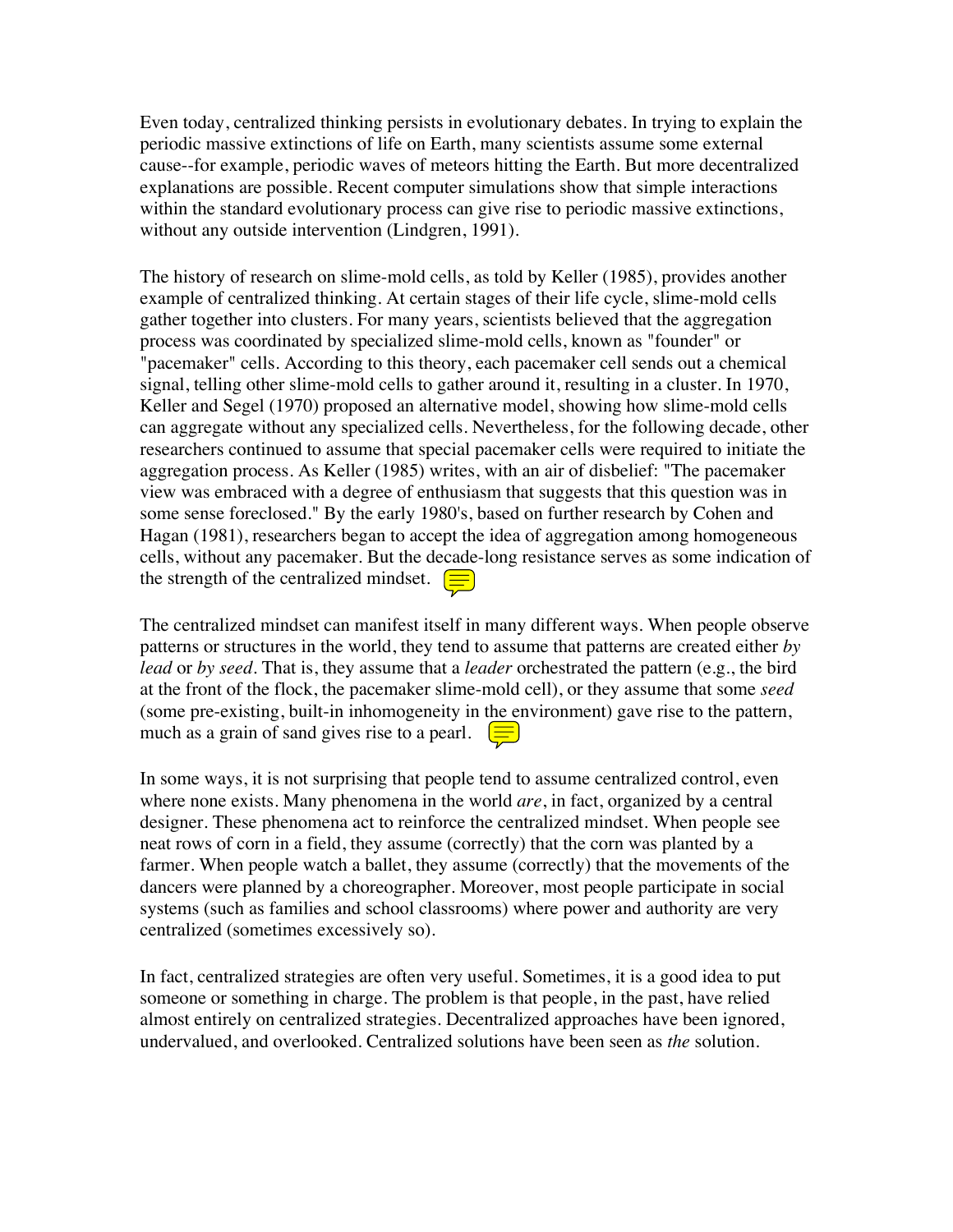Even today, centralized thinking persists in evolutionary debates. In trying to explain the periodic massive extinctions of life on Earth, many scientists assume some external cause--for example, periodic waves of meteors hitting the Earth. But more decentralized explanations are possible. Recent computer simulations show that simple interactions within the standard evolutionary process can give rise to periodic massive extinctions, without any outside intervention (Lindgren, 1991).

The history of research on slime-mold cells, as told by Keller (1985), provides another example of centralized thinking. At certain stages of their life cycle, slime-mold cells gather together into clusters. For many years, scientists believed that the aggregation process was coordinated by specialized slime-mold cells, known as "founder" or "pacemaker" cells. According to this theory, each pacemaker cell sends out a chemical signal, telling other slime-mold cells to gather around it, resulting in a cluster. In 1970, Keller and Segel (1970) proposed an alternative model, showing how slime-mold cells can aggregate without any specialized cells. Nevertheless, for the following decade, other researchers continued to assume that special pacemaker cells were required to initiate the aggregation process. As Keller (1985) writes, with an air of disbelief: "The pacemaker view was embraced with a degree of enthusiasm that suggests that this question was in some sense foreclosed." By the early 1980's, based on further research by Cohen and Hagan (1981), researchers began to accept the idea of aggregation among homogeneous cells, without any pacemaker. But the decade-long resistance serves as some indication of the strength of the centralized mindset.  $\equiv$ 

The centralized mindset can manifest itself in many different ways. When people observe patterns or structures in the world, they tend to assume that patterns are created either *by lead* or *by seed*. That is, they assume that a *leader* orchestrated the pattern (e.g., the bird at the front of the flock, the pacemaker slime-mold cell), or they assume that some *seed* (some pre-existing, built-in inhomogeneity in the environment) gave rise to the pattern, much as a grain of sand gives rise to a pearl.  $\left(\frac{\cdot}{\cdot}\right)$ 

In some ways, it is not surprising that people tend to assume centralized control, even where none exists. Many phenomena in the world *are*, in fact, organized by a central designer. These phenomena act to reinforce the centralized mindset. When people see neat rows of corn in a field, they assume (correctly) that the corn was planted by a farmer. When people watch a ballet, they assume (correctly) that the movements of the dancers were planned by a choreographer. Moreover, most people participate in social systems (such as families and school classrooms) where power and authority are very centralized (sometimes excessively so).

In fact, centralized strategies are often very useful. Sometimes, it is a good idea to put someone or something in charge. The problem is that people, in the past, have relied almost entirely on centralized strategies. Decentralized approaches have been ignored, undervalued, and overlooked. Centralized solutions have been seen as *the* solution.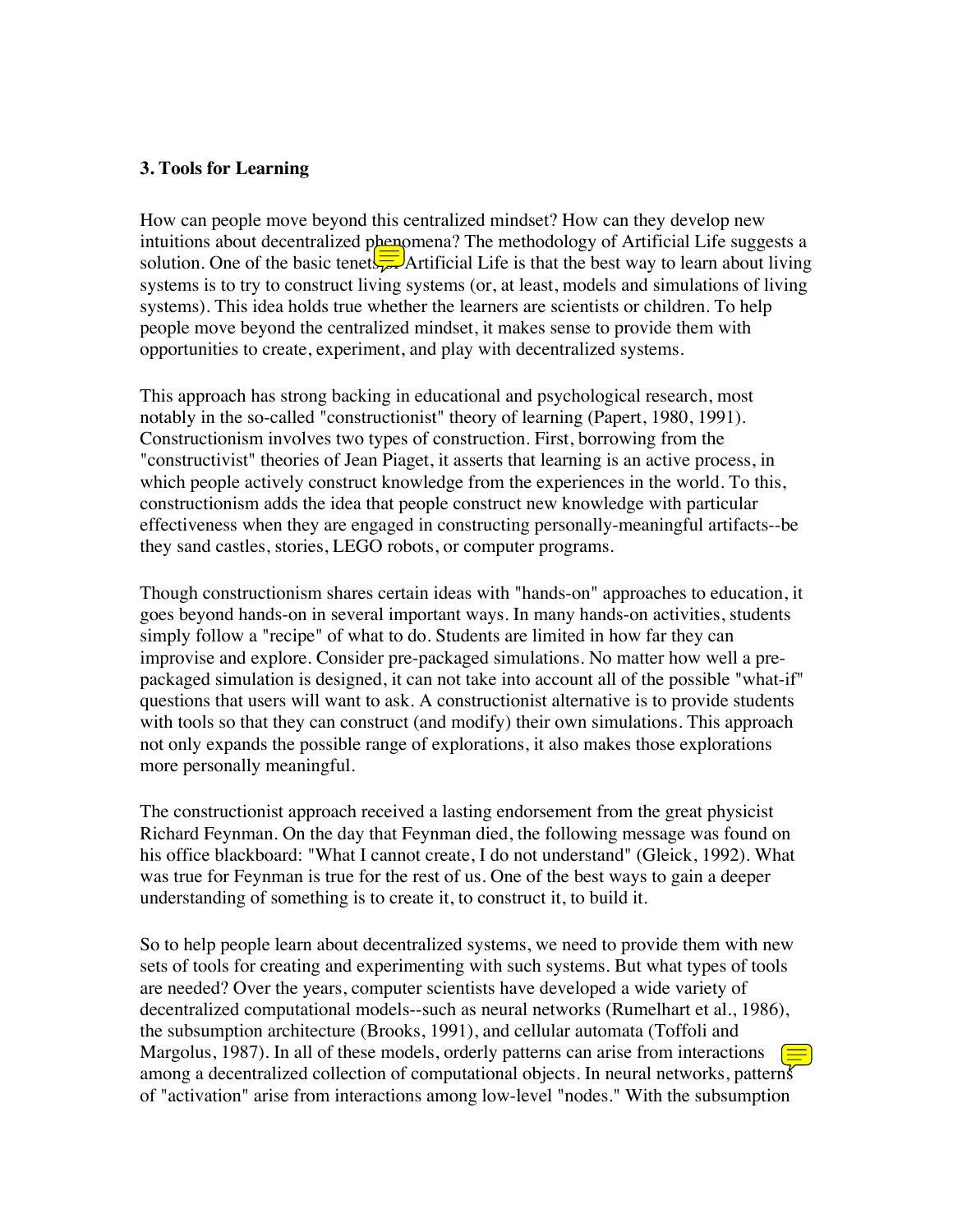#### **3. Tools for Learning**

How can people move beyond this centralized mindset? How can they develop new intuitions about decentralized phenomena? The methodology of Artificial Life suggests a solution. One of the basic tenets  $\sqrt{\frac{1}{\epsilon}}$  Artificial Life is that the best way to learn about living systems is to try to construct living systems (or, at least, models and simulations of living systems). This idea holds true whether the learners are scientists or children. To help people move beyond the centralized mindset, it makes sense to provide them with opportunities to create, experiment, and play with decentralized systems.

This approach has strong backing in educational and psychological research, most notably in the so-called "constructionist" theory of learning (Papert, 1980, 1991). Constructionism involves two types of construction. First, borrowing from the "constructivist" theories of Jean Piaget, it asserts that learning is an active process, in which people actively construct knowledge from the experiences in the world. To this, constructionism adds the idea that people construct new knowledge with particular effectiveness when they are engaged in constructing personally-meaningful artifacts--be they sand castles, stories, LEGO robots, or computer programs.

Though constructionism shares certain ideas with "hands-on" approaches to education, it goes beyond hands-on in several important ways. In many hands-on activities, students simply follow a "recipe" of what to do. Students are limited in how far they can improvise and explore. Consider pre-packaged simulations. No matter how well a prepackaged simulation is designed, it can not take into account all of the possible "what-if" questions that users will want to ask. A constructionist alternative is to provide students with tools so that they can construct (and modify) their own simulations. This approach not only expands the possible range of explorations, it also makes those explorations more personally meaningful.

The constructionist approach received a lasting endorsement from the great physicist Richard Feynman. On the day that Feynman died, the following message was found on his office blackboard: "What I cannot create, I do not understand" (Gleick, 1992). What was true for Feynman is true for the rest of us. One of the best ways to gain a deeper understanding of something is to create it, to construct it, to build it.

So to help people learn about decentralized systems, we need to provide them with new sets of tools for creating and experimenting with such systems. But what types of tools are needed? Over the years, computer scientists have developed a wide variety of decentralized computational models--such as neural networks (Rumelhart et al., 1986), the subsumption architecture (Brooks, 1991), and cellular automata (Toffoli and Margolus, 1987). In all of these models, orderly patterns can arise from interactions among a decentralized collection of computational objects. In neural networks, patterns of "activation" arise from interactions among low-level "nodes." With the subsumption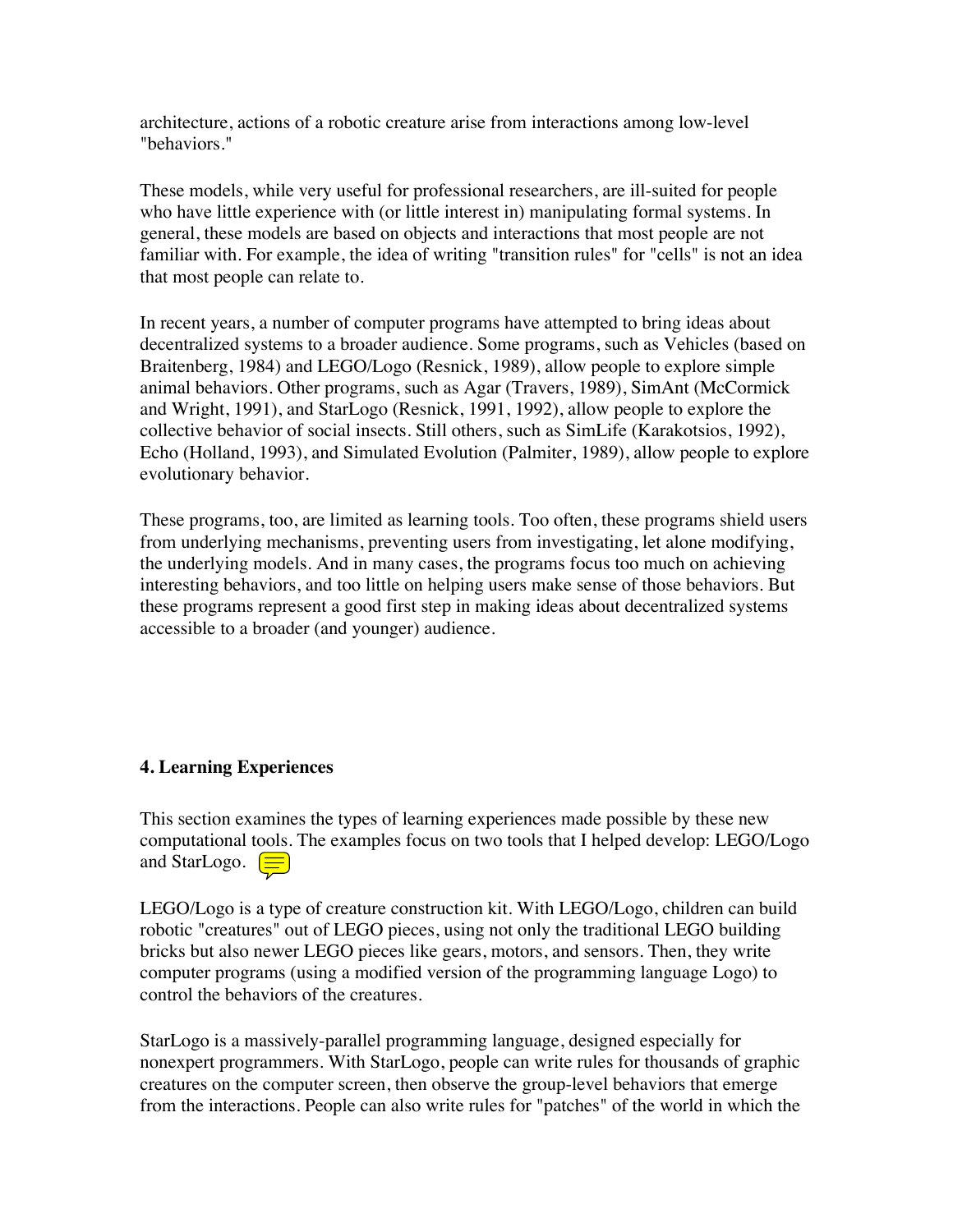architecture, actions of a robotic creature arise from interactions among low-level "behaviors."

These models, while very useful for professional researchers, are ill-suited for people who have little experience with (or little interest in) manipulating formal systems. In general, these models are based on objects and interactions that most people are not familiar with. For example, the idea of writing "transition rules" for "cells" is not an idea that most people can relate to.

In recent years, a number of computer programs have attempted to bring ideas about decentralized systems to a broader audience. Some programs, such as Vehicles (based on Braitenberg, 1984) and LEGO/Logo (Resnick, 1989), allow people to explore simple animal behaviors. Other programs, such as Agar (Travers, 1989), SimAnt (McCormick and Wright, 1991), and StarLogo (Resnick, 1991, 1992), allow people to explore the collective behavior of social insects. Still others, such as SimLife (Karakotsios, 1992), Echo (Holland, 1993), and Simulated Evolution (Palmiter, 1989), allow people to explore evolutionary behavior.

These programs, too, are limited as learning tools. Too often, these programs shield users from underlying mechanisms, preventing users from investigating, let alone modifying, the underlying models. And in many cases, the programs focus too much on achieving interesting behaviors, and too little on helping users make sense of those behaviors. But these programs represent a good first step in making ideas about decentralized systems accessible to a broader (and younger) audience.

# **4. Learning Experiences**

This section examines the types of learning experiences made possible by these new computational tools. The examples focus on two tools that I helped develop: LEGO/Logo and StarLogo.  $\boxed{\equiv}$ 

LEGO/Logo is a type of creature construction kit. With LEGO/Logo, children can build robotic "creatures" out of LEGO pieces, using not only the traditional LEGO building bricks but also newer LEGO pieces like gears, motors, and sensors. Then, they write computer programs (using a modified version of the programming language Logo) to control the behaviors of the creatures.

StarLogo is a massively-parallel programming language, designed especially for nonexpert programmers. With StarLogo, people can write rules for thousands of graphic creatures on the computer screen, then observe the group-level behaviors that emerge from the interactions. People can also write rules for "patches" of the world in which the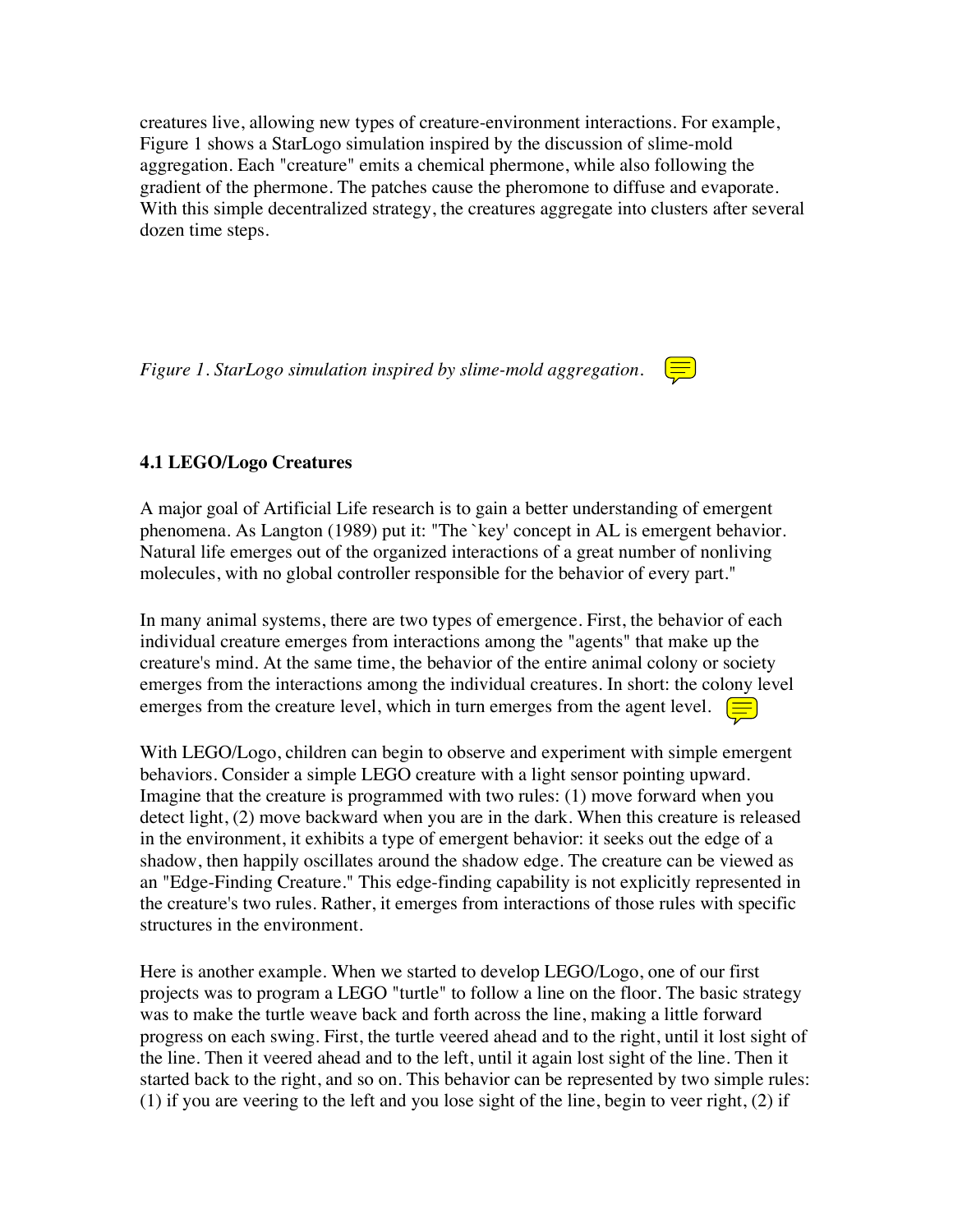creatures live, allowing new types of creature-environment interactions. For example, Figure 1 shows a StarLogo simulation inspired by the discussion of slime-mold aggregation. Each "creature" emits a chemical phermone, while also following the gradient of the phermone. The patches cause the pheromone to diffuse and evaporate. With this simple decentralized strategy, the creatures aggregate into clusters after several dozen time steps.

 $\left(\equiv\right)$ 

*Figure 1. StarLogo simulation inspired by slime-mold aggregation.*

# **4.1 LEGO/Logo Creatures**

A major goal of Artificial Life research is to gain a better understanding of emergent phenomena. As Langton (1989) put it: "The `key' concept in AL is emergent behavior. Natural life emerges out of the organized interactions of a great number of nonliving molecules, with no global controller responsible for the behavior of every part."

In many animal systems, there are two types of emergence. First, the behavior of each individual creature emerges from interactions among the "agents" that make up the creature's mind. At the same time, the behavior of the entire animal colony or society emerges from the interactions among the individual creatures. In short: the colony level emerges from the creature level, which in turn emerges from the agent level.  $\equiv$ 

With LEGO/Logo, children can begin to observe and experiment with simple emergent behaviors. Consider a simple LEGO creature with a light sensor pointing upward. Imagine that the creature is programmed with two rules: (1) move forward when you detect light, (2) move backward when you are in the dark. When this creature is released in the environment, it exhibits a type of emergent behavior: it seeks out the edge of a shadow, then happily oscillates around the shadow edge. The creature can be viewed as an "Edge-Finding Creature." This edge-finding capability is not explicitly represented in the creature's two rules. Rather, it emerges from interactions of those rules with specific structures in the environment.

Here is another example. When we started to develop LEGO/Logo, one of our first projects was to program a LEGO "turtle" to follow a line on the floor. The basic strategy was to make the turtle weave back and forth across the line, making a little forward progress on each swing. First, the turtle veered ahead and to the right, until it lost sight of the line. Then it veered ahead and to the left, until it again lost sight of the line. Then it started back to the right, and so on. This behavior can be represented by two simple rules: (1) if you are veering to the left and you lose sight of the line, begin to veer right, (2) if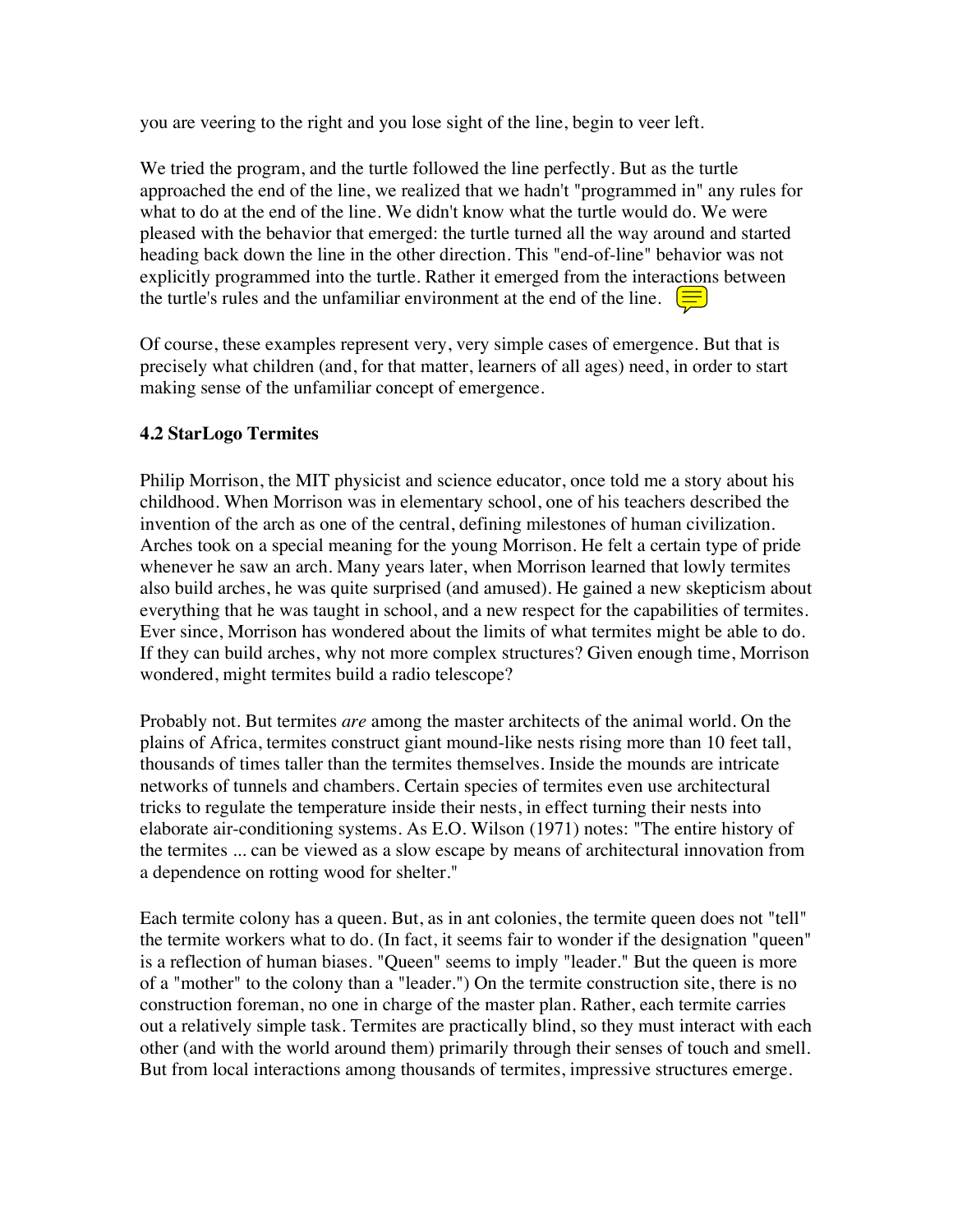you are veering to the right and you lose sight of the line, begin to veer left.

We tried the program, and the turtle followed the line perfectly. But as the turtle approached the end of the line, we realized that we hadn't "programmed in" any rules for what to do at the end of the line. We didn't know what the turtle would do. We were pleased with the behavior that emerged: the turtle turned all the way around and started heading back down the line in the other direction. This "end-of-line" behavior was not explicitly programmed into the turtle. Rather it emerged from the interactions between the turtle's rules and the unfamiliar environment at the end of the line.  $\left[\equiv\right]$ 

Of course, these examples represent very, very simple cases of emergence. But that is precisely what children (and, for that matter, learners of all ages) need, in order to start making sense of the unfamiliar concept of emergence.

## **4.2 StarLogo Termites**

Philip Morrison, the MIT physicist and science educator, once told me a story about his childhood. When Morrison was in elementary school, one of his teachers described the invention of the arch as one of the central, defining milestones of human civilization. Arches took on a special meaning for the young Morrison. He felt a certain type of pride whenever he saw an arch. Many years later, when Morrison learned that lowly termites also build arches, he was quite surprised (and amused). He gained a new skepticism about everything that he was taught in school, and a new respect for the capabilities of termites. Ever since, Morrison has wondered about the limits of what termites might be able to do. If they can build arches, why not more complex structures? Given enough time, Morrison wondered, might termites build a radio telescope?

Probably not. But termites *are* among the master architects of the animal world. On the plains of Africa, termites construct giant mound-like nests rising more than 10 feet tall, thousands of times taller than the termites themselves. Inside the mounds are intricate networks of tunnels and chambers. Certain species of termites even use architectural tricks to regulate the temperature inside their nests, in effect turning their nests into elaborate air-conditioning systems. As E.O. Wilson (1971) notes: "The entire history of the termites ... can be viewed as a slow escape by means of architectural innovation from a dependence on rotting wood for shelter."

Each termite colony has a queen. But, as in ant colonies, the termite queen does not "tell" the termite workers what to do. (In fact, it seems fair to wonder if the designation "queen" is a reflection of human biases. "Queen" seems to imply "leader." But the queen is more of a "mother" to the colony than a "leader.") On the termite construction site, there is no construction foreman, no one in charge of the master plan. Rather, each termite carries out a relatively simple task. Termites are practically blind, so they must interact with each other (and with the world around them) primarily through their senses of touch and smell. But from local interactions among thousands of termites, impressive structures emerge.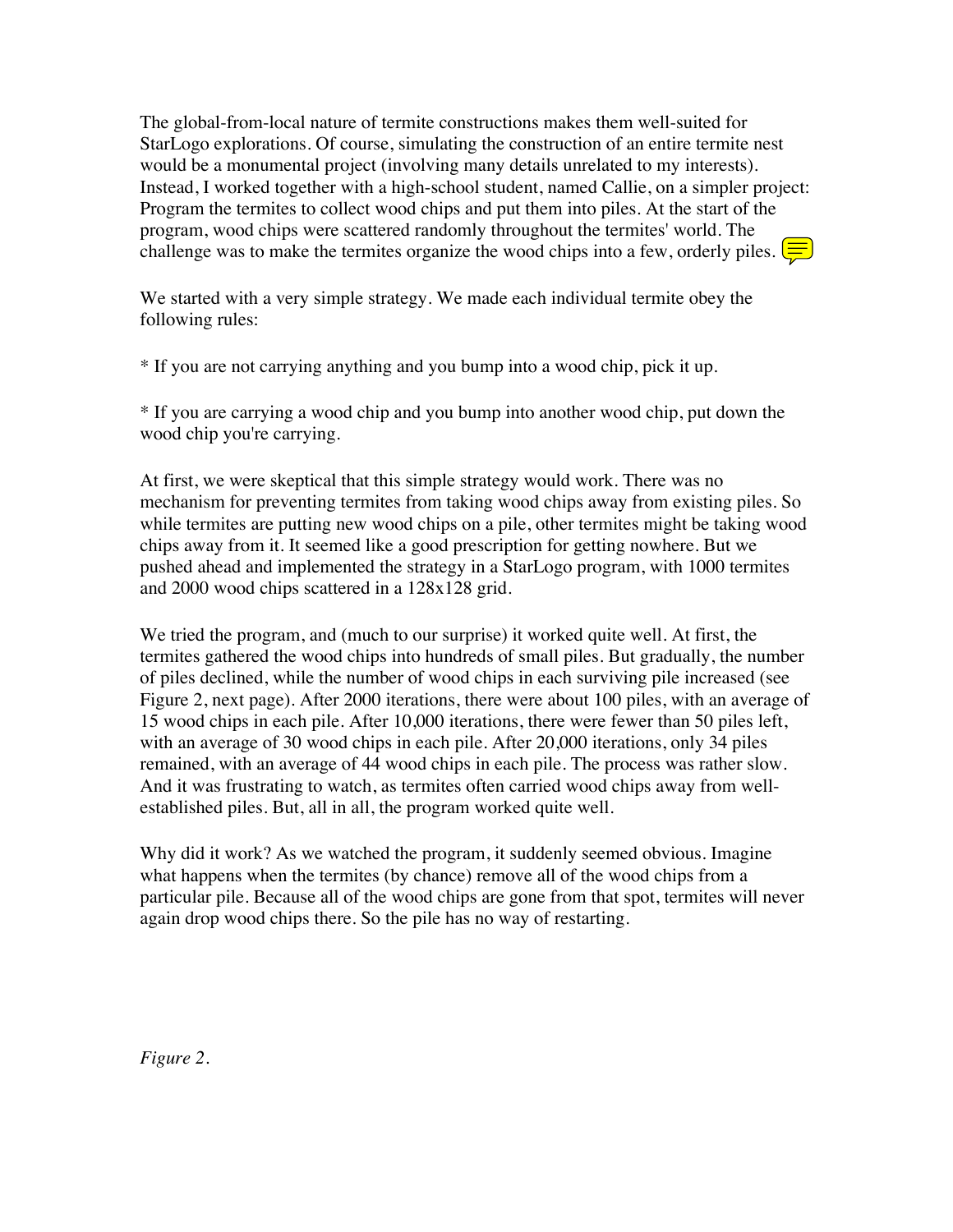The global-from-local nature of termite constructions makes them well-suited for StarLogo explorations. Of course, simulating the construction of an entire termite nest would be a monumental project (involving many details unrelated to my interests). Instead, I worked together with a high-school student, named Callie, on a simpler project: Program the termites to collect wood chips and put them into piles. At the start of the program, wood chips were scattered randomly throughout the termites' world. The challenge was to make the termites organize the wood chips into a few, orderly piles.  $\boxed{\equiv}$ 

We started with a very simple strategy. We made each individual termite obey the following rules:

\* If you are not carrying anything and you bump into a wood chip, pick it up.

\* If you are carrying a wood chip and you bump into another wood chip, put down the wood chip you're carrying.

At first, we were skeptical that this simple strategy would work. There was no mechanism for preventing termites from taking wood chips away from existing piles. So while termites are putting new wood chips on a pile, other termites might be taking wood chips away from it. It seemed like a good prescription for getting nowhere. But we pushed ahead and implemented the strategy in a StarLogo program, with 1000 termites and 2000 wood chips scattered in a 128x128 grid.

We tried the program, and (much to our surprise) it worked quite well. At first, the termites gathered the wood chips into hundreds of small piles. But gradually, the number of piles declined, while the number of wood chips in each surviving pile increased (see Figure 2, next page). After 2000 iterations, there were about 100 piles, with an average of 15 wood chips in each pile. After 10,000 iterations, there were fewer than 50 piles left, with an average of 30 wood chips in each pile. After 20,000 iterations, only 34 piles remained, with an average of 44 wood chips in each pile. The process was rather slow. And it was frustrating to watch, as termites often carried wood chips away from wellestablished piles. But, all in all, the program worked quite well.

Why did it work? As we watched the program, it suddenly seemed obvious. Imagine what happens when the termites (by chance) remove all of the wood chips from a particular pile. Because all of the wood chips are gone from that spot, termites will never again drop wood chips there. So the pile has no way of restarting.

*Figure 2.*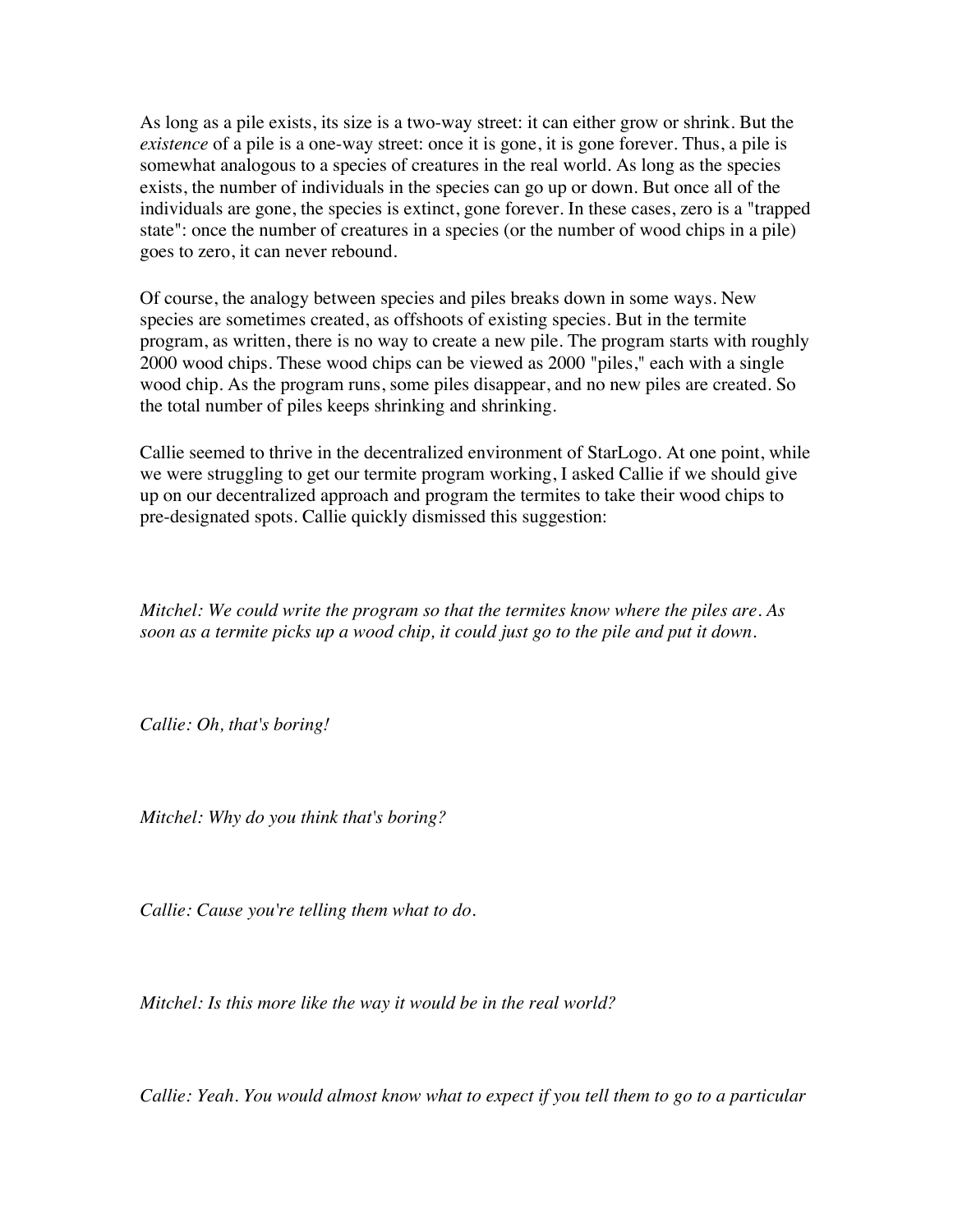As long as a pile exists, its size is a two-way street: it can either grow or shrink. But the *existence* of a pile is a one-way street: once it is gone, it is gone forever. Thus, a pile is somewhat analogous to a species of creatures in the real world. As long as the species exists, the number of individuals in the species can go up or down. But once all of the individuals are gone, the species is extinct, gone forever. In these cases, zero is a "trapped state": once the number of creatures in a species (or the number of wood chips in a pile) goes to zero, it can never rebound.

Of course, the analogy between species and piles breaks down in some ways. New species are sometimes created, as offshoots of existing species. But in the termite program, as written, there is no way to create a new pile. The program starts with roughly 2000 wood chips. These wood chips can be viewed as 2000 "piles," each with a single wood chip. As the program runs, some piles disappear, and no new piles are created. So the total number of piles keeps shrinking and shrinking.

Callie seemed to thrive in the decentralized environment of StarLogo. At one point, while we were struggling to get our termite program working, I asked Callie if we should give up on our decentralized approach and program the termites to take their wood chips to pre-designated spots. Callie quickly dismissed this suggestion:

*Mitchel: We could write the program so that the termites know where the piles are. As soon as a termite picks up a wood chip, it could just go to the pile and put it down.*

*Callie: Oh, that's boring!*

*Mitchel: Why do you think that's boring?*

*Callie: Cause you're telling them what to do.*

*Mitchel: Is this more like the way it would be in the real world?*

*Callie: Yeah. You would almost know what to expect if you tell them to go to a particular*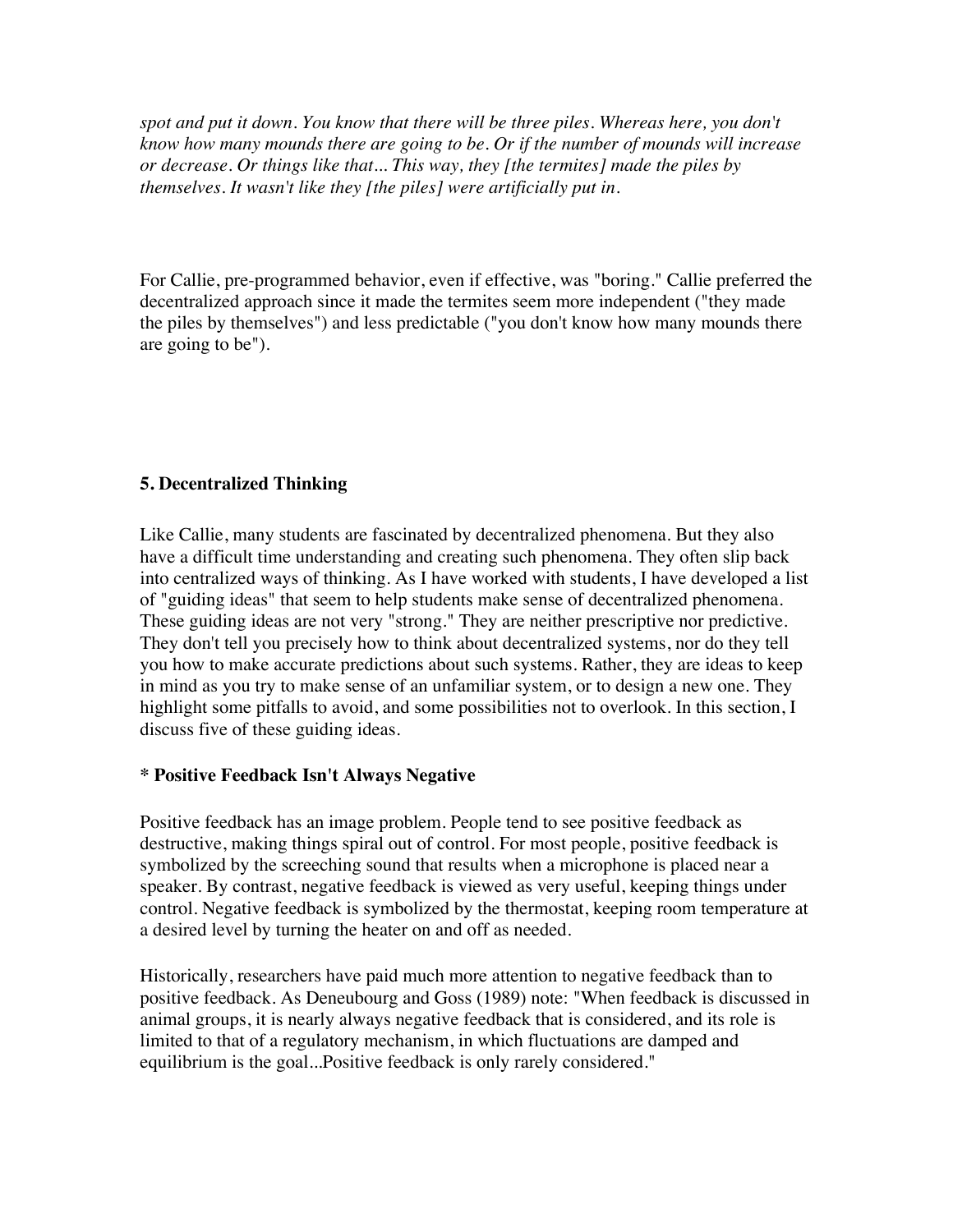spot and put it down. You know that there will be three piles. Whereas here, you don't *know how many mounds there are going to be. Or if the number of mounds will increase or decrease. Or things like that... This way, they [the termites] made the piles by themselves. It wasn't like they [the piles] were artificially put in.*

For Callie, pre-programmed behavior, even if effective, was "boring." Callie preferred the decentralized approach since it made the termites seem more independent ("they made the piles by themselves") and less predictable ("you don't know how many mounds there are going to be").

## **5. Decentralized Thinking**

Like Callie, many students are fascinated by decentralized phenomena. But they also have a difficult time understanding and creating such phenomena. They often slip back into centralized ways of thinking. As I have worked with students, I have developed a list of "guiding ideas" that seem to help students make sense of decentralized phenomena. These guiding ideas are not very "strong." They are neither prescriptive nor predictive. They don't tell you precisely how to think about decentralized systems, nor do they tell you how to make accurate predictions about such systems. Rather, they are ideas to keep in mind as you try to make sense of an unfamiliar system, or to design a new one. They highlight some pitfalls to avoid, and some possibilities not to overlook. In this section, I discuss five of these guiding ideas.

### **\* Positive Feedback Isn't Always Negative**

Positive feedback has an image problem. People tend to see positive feedback as destructive, making things spiral out of control. For most people, positive feedback is symbolized by the screeching sound that results when a microphone is placed near a speaker. By contrast, negative feedback is viewed as very useful, keeping things under control. Negative feedback is symbolized by the thermostat, keeping room temperature at a desired level by turning the heater on and off as needed.

Historically, researchers have paid much more attention to negative feedback than to positive feedback. As Deneubourg and Goss (1989) note: "When feedback is discussed in animal groups, it is nearly always negative feedback that is considered, and its role is limited to that of a regulatory mechanism, in which fluctuations are damped and equilibrium is the goal...Positive feedback is only rarely considered."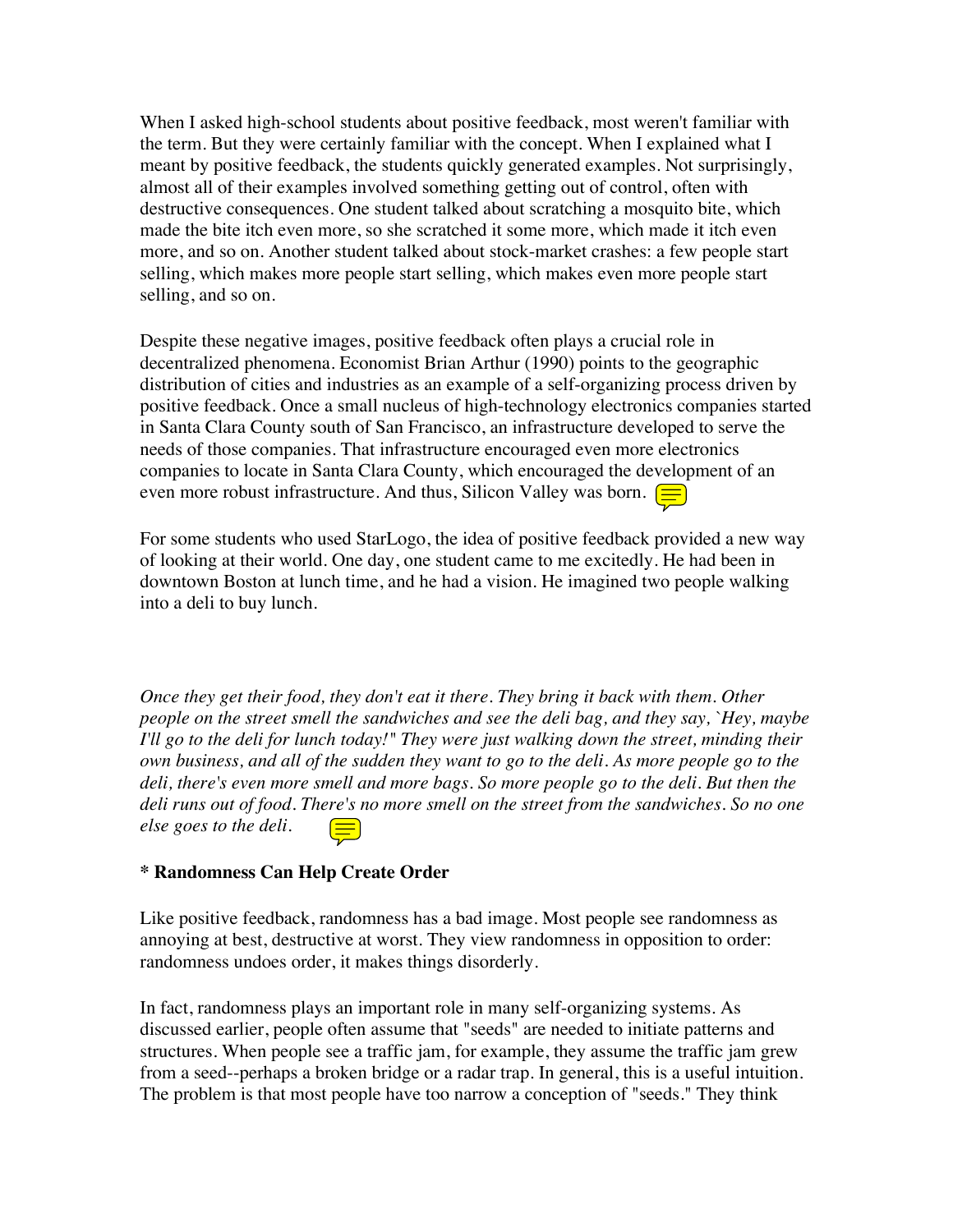When I asked high-school students about positive feedback, most weren't familiar with the term. But they were certainly familiar with the concept. When I explained what I meant by positive feedback, the students quickly generated examples. Not surprisingly, almost all of their examples involved something getting out of control, often with destructive consequences. One student talked about scratching a mosquito bite, which made the bite itch even more, so she scratched it some more, which made it itch even more, and so on. Another student talked about stock-market crashes: a few people start selling, which makes more people start selling, which makes even more people start selling, and so on.

Despite these negative images, positive feedback often plays a crucial role in decentralized phenomena. Economist Brian Arthur (1990) points to the geographic distribution of cities and industries as an example of a self-organizing process driven by positive feedback. Once a small nucleus of high-technology electronics companies started in Santa Clara County south of San Francisco, an infrastructure developed to serve the needs of those companies. That infrastructure encouraged even more electronics companies to locate in Santa Clara County, which encouraged the development of an even more robust infrastructure. And thus, Silicon Valley was born.  $\boxed{\equiv}$ 

For some students who used StarLogo, the idea of positive feedback provided a new way of looking at their world. One day, one student came to me excitedly. He had been in downtown Boston at lunch time, and he had a vision. He imagined two people walking into a deli to buy lunch.

*Once they get their food, they don't eat it there. They bring it back with them. Other people on the street smell the sandwiches and see the deli bag, and they say, `Hey, maybe I'll go to the deli for lunch today!" They were just walking down the street, minding their own business, and all of the sudden they want to go to the deli. As more people go to the deli, there's even more smell and more bags. So more people go to the deli. But then the deli runs out of food. There's no more smell on the street from the sandwiches. So no one else goes to the deli.*

### **\* Randomness Can Help Create Order**

Like positive feedback, randomness has a bad image. Most people see randomness as annoying at best, destructive at worst. They view randomness in opposition to order: randomness undoes order, it makes things disorderly.

In fact, randomness plays an important role in many self-organizing systems. As discussed earlier, people often assume that "seeds" are needed to initiate patterns and structures. When people see a traffic jam, for example, they assume the traffic jam grew from a seed--perhaps a broken bridge or a radar trap. In general, this is a useful intuition. The problem is that most people have too narrow a conception of "seeds." They think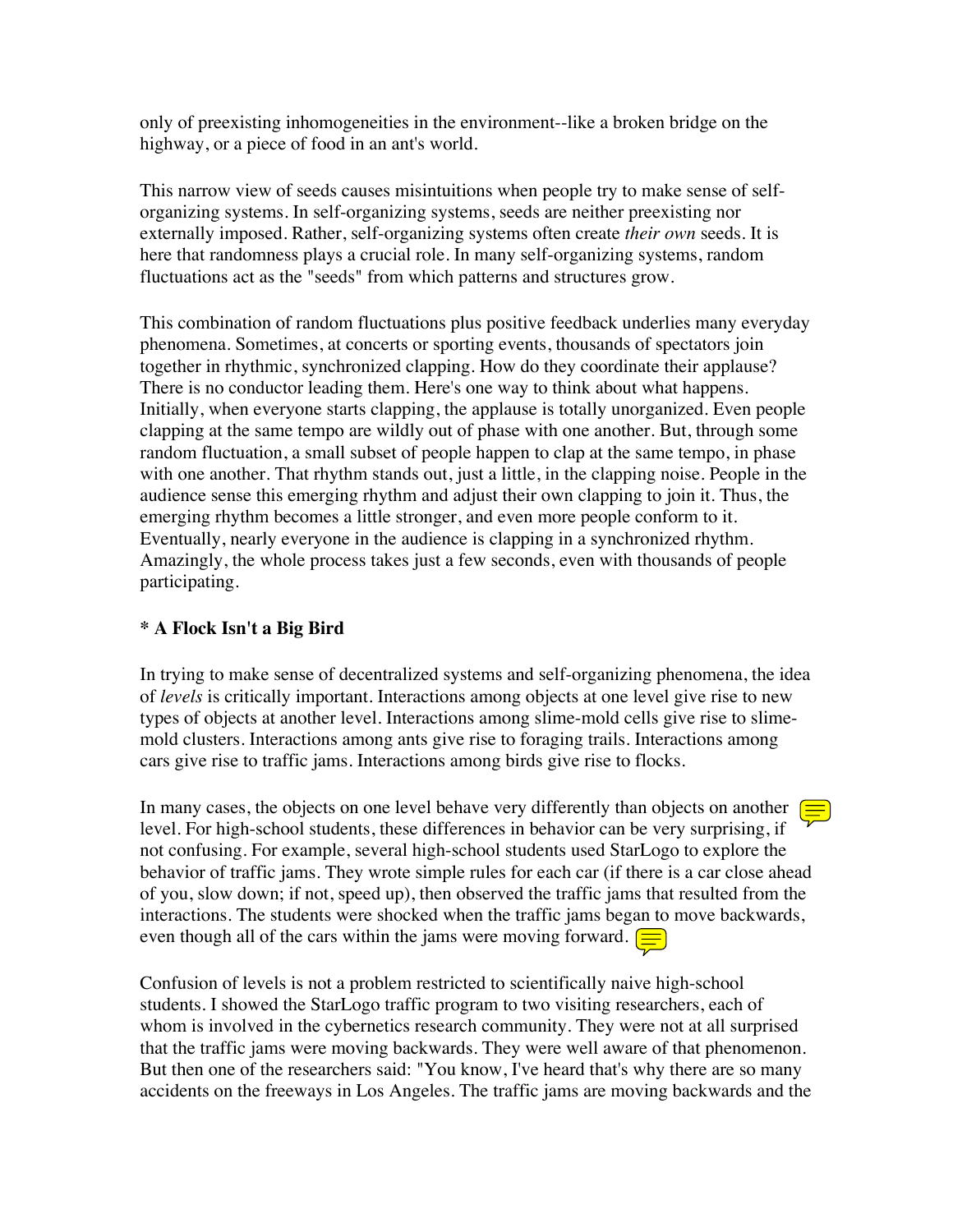only of preexisting inhomogeneities in the environment--like a broken bridge on the highway, or a piece of food in an ant's world.

This narrow view of seeds causes misintuitions when people try to make sense of selforganizing systems. In self-organizing systems, seeds are neither preexisting nor externally imposed. Rather, self-organizing systems often create *their own* seeds. It is here that randomness plays a crucial role. In many self-organizing systems, random fluctuations act as the "seeds" from which patterns and structures grow.

This combination of random fluctuations plus positive feedback underlies many everyday phenomena. Sometimes, at concerts or sporting events, thousands of spectators join together in rhythmic, synchronized clapping. How do they coordinate their applause? There is no conductor leading them. Here's one way to think about what happens. Initially, when everyone starts clapping, the applause is totally unorganized. Even people clapping at the same tempo are wildly out of phase with one another. But, through some random fluctuation, a small subset of people happen to clap at the same tempo, in phase with one another. That rhythm stands out, just a little, in the clapping noise. People in the audience sense this emerging rhythm and adjust their own clapping to join it. Thus, the emerging rhythm becomes a little stronger, and even more people conform to it. Eventually, nearly everyone in the audience is clapping in a synchronized rhythm. Amazingly, the whole process takes just a few seconds, even with thousands of people participating.

# **\* A Flock Isn't a Big Bird**

In trying to make sense of decentralized systems and self-organizing phenomena, the idea of *levels* is critically important. Interactions among objects at one level give rise to new types of objects at another level. Interactions among slime-mold cells give rise to slimemold clusters. Interactions among ants give rise to foraging trails. Interactions among cars give rise to traffic jams. Interactions among birds give rise to flocks.

In many cases, the objects on one level behave very differently than objects on another ( level. For high-school students, these differences in behavior can be very surprising, if not confusing. For example, several high-school students used StarLogo to explore the behavior of traffic jams. They wrote simple rules for each car (if there is a car close ahead of you, slow down; if not, speed up), then observed the traffic jams that resulted from the interactions. The students were shocked when the traffic jams began to move backwards, even though all of the cars within the jams were moving forward.  $\equiv$ 

Confusion of levels is not a problem restricted to scientifically naive high-school students. I showed the StarLogo traffic program to two visiting researchers, each of whom is involved in the cybernetics research community. They were not at all surprised that the traffic jams were moving backwards. They were well aware of that phenomenon. But then one of the researchers said: "You know, I've heard that's why there are so many accidents on the freeways in Los Angeles. The traffic jams are moving backwards and the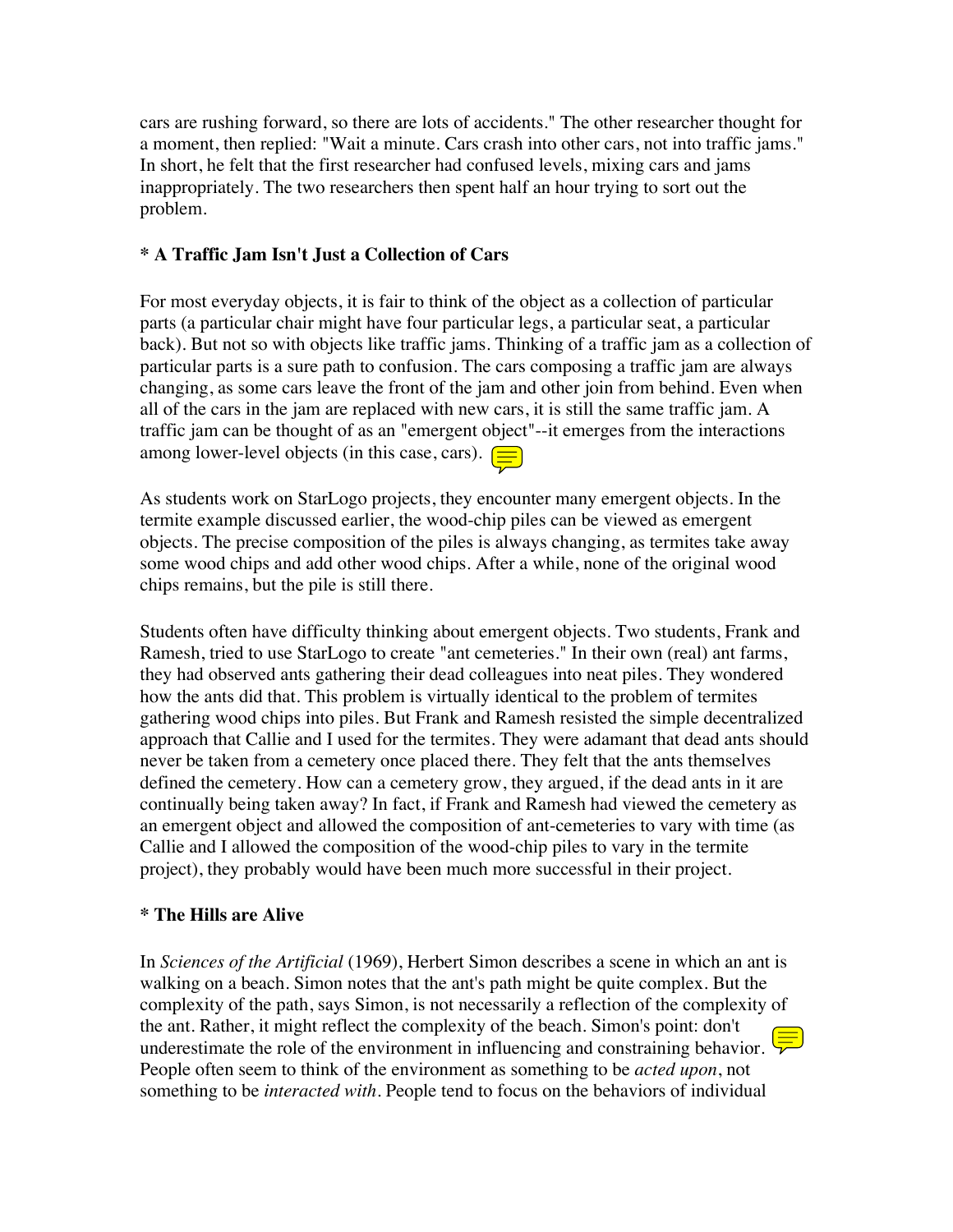cars are rushing forward, so there are lots of accidents." The other researcher thought for a moment, then replied: "Wait a minute. Cars crash into other cars, not into traffic jams." In short, he felt that the first researcher had confused levels, mixing cars and jams inappropriately. The two researchers then spent half an hour trying to sort out the problem.

# **\* A Traffic Jam Isn't Just a Collection of Cars**

For most everyday objects, it is fair to think of the object as a collection of particular parts (a particular chair might have four particular legs, a particular seat, a particular back). But not so with objects like traffic jams. Thinking of a traffic jam as a collection of particular parts is a sure path to confusion. The cars composing a traffic jam are always changing, as some cars leave the front of the jam and other join from behind. Even when all of the cars in the jam are replaced with new cars, it is still the same traffic jam. A traffic jam can be thought of as an "emergent object"--it emerges from the interactions among lower-level objects (in this case, cars).  $\boxed{\equiv}$ 

As students work on StarLogo projects, they encounter many emergent objects. In the termite example discussed earlier, the wood-chip piles can be viewed as emergent objects. The precise composition of the piles is always changing, as termites take away some wood chips and add other wood chips. After a while, none of the original wood chips remains, but the pile is still there.

Students often have difficulty thinking about emergent objects. Two students, Frank and Ramesh, tried to use StarLogo to create "ant cemeteries." In their own (real) ant farms, they had observed ants gathering their dead colleagues into neat piles. They wondered how the ants did that. This problem is virtually identical to the problem of termites gathering wood chips into piles. But Frank and Ramesh resisted the simple decentralized approach that Callie and I used for the termites. They were adamant that dead ants should never be taken from a cemetery once placed there. They felt that the ants themselves defined the cemetery. How can a cemetery grow, they argued, if the dead ants in it are continually being taken away? In fact, if Frank and Ramesh had viewed the cemetery as an emergent object and allowed the composition of ant-cemeteries to vary with time (as Callie and I allowed the composition of the wood-chip piles to vary in the termite project), they probably would have been much more successful in their project.

# **\* The Hills are Alive**

In *Sciences of the Artificial* (1969), Herbert Simon describes a scene in which an ant is walking on a beach. Simon notes that the ant's path might be quite complex. But the complexity of the path, says Simon, is not necessarily a reflection of the complexity of the ant. Rather, it might reflect the complexity of the beach. Simon's point: don't underestimate the role of the environment in influencing and constraining behavior. People often seem to think of the environment as something to be *acted upon*, not something to be *interacted with*. People tend to focus on the behaviors of individual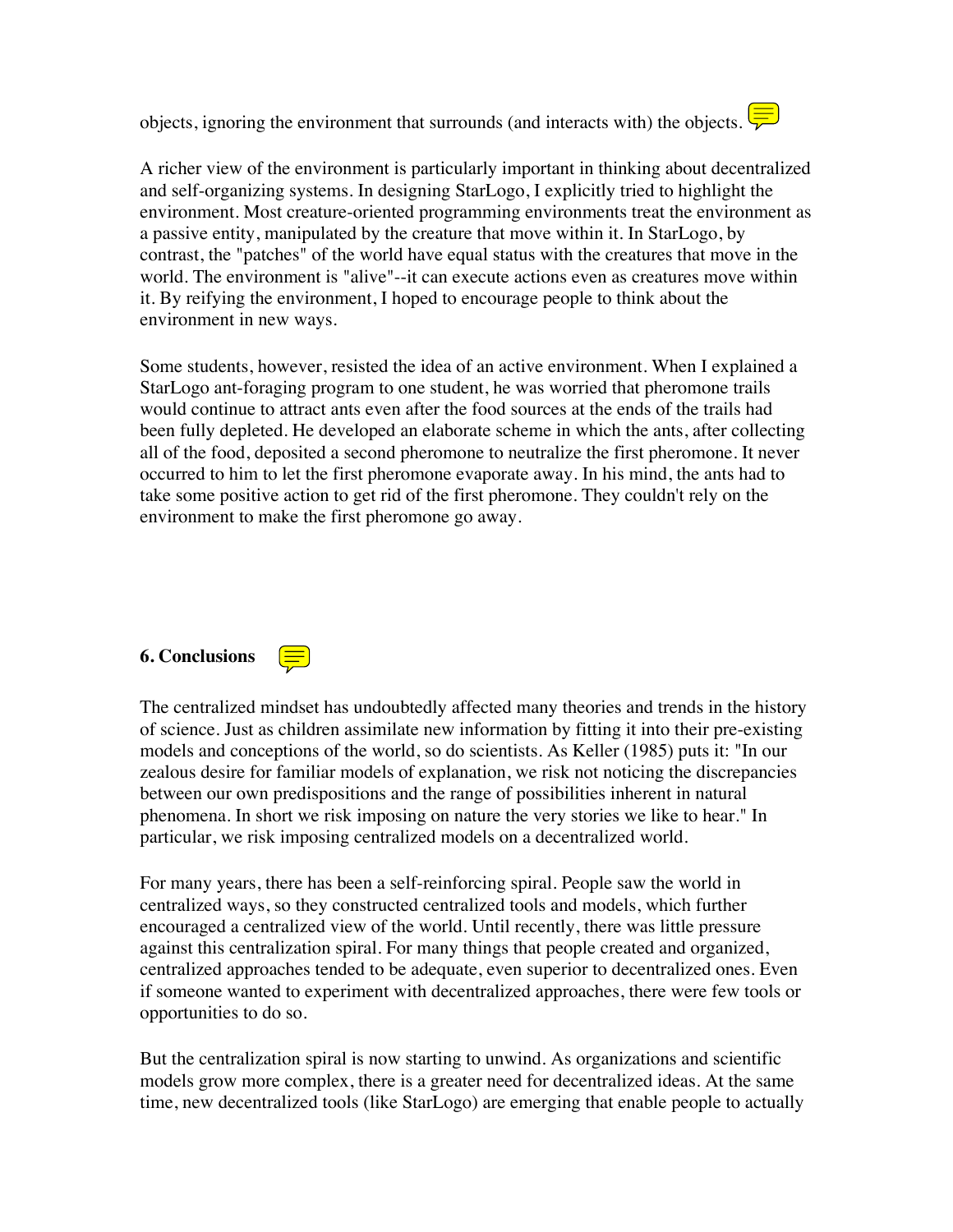objects, ignoring the environment that surrounds (and interacts with) the objects.

A richer view of the environment is particularly important in thinking about decentralized and self-organizing systems. In designing StarLogo, I explicitly tried to highlight the environment. Most creature-oriented programming environments treat the environment as a passive entity, manipulated by the creature that move within it. In StarLogo, by contrast, the "patches" of the world have equal status with the creatures that move in the world. The environment is "alive"--it can execute actions even as creatures move within it. By reifying the environment, I hoped to encourage people to think about the environment in new ways.

Some students, however, resisted the idea of an active environment. When I explained a StarLogo ant-foraging program to one student, he was worried that pheromone trails would continue to attract ants even after the food sources at the ends of the trails had been fully depleted. He developed an elaborate scheme in which the ants, after collecting all of the food, deposited a second pheromone to neutralize the first pheromone. It never occurred to him to let the first pheromone evaporate away. In his mind, the ants had to take some positive action to get rid of the first pheromone. They couldn't rely on the environment to make the first pheromone go away.

# **6. Conclusions**



The centralized mindset has undoubtedly affected many theories and trends in the history of science. Just as children assimilate new information by fitting it into their pre-existing models and conceptions of the world, so do scientists. As Keller (1985) puts it: "In our zealous desire for familiar models of explanation, we risk not noticing the discrepancies between our own predispositions and the range of possibilities inherent in natural phenomena. In short we risk imposing on nature the very stories we like to hear." In particular, we risk imposing centralized models on a decentralized world.

For many years, there has been a self-reinforcing spiral. People saw the world in centralized ways, so they constructed centralized tools and models, which further encouraged a centralized view of the world. Until recently, there was little pressure against this centralization spiral. For many things that people created and organized, centralized approaches tended to be adequate, even superior to decentralized ones. Even if someone wanted to experiment with decentralized approaches, there were few tools or opportunities to do so.

But the centralization spiral is now starting to unwind. As organizations and scientific models grow more complex, there is a greater need for decentralized ideas. At the same time, new decentralized tools (like StarLogo) are emerging that enable people to actually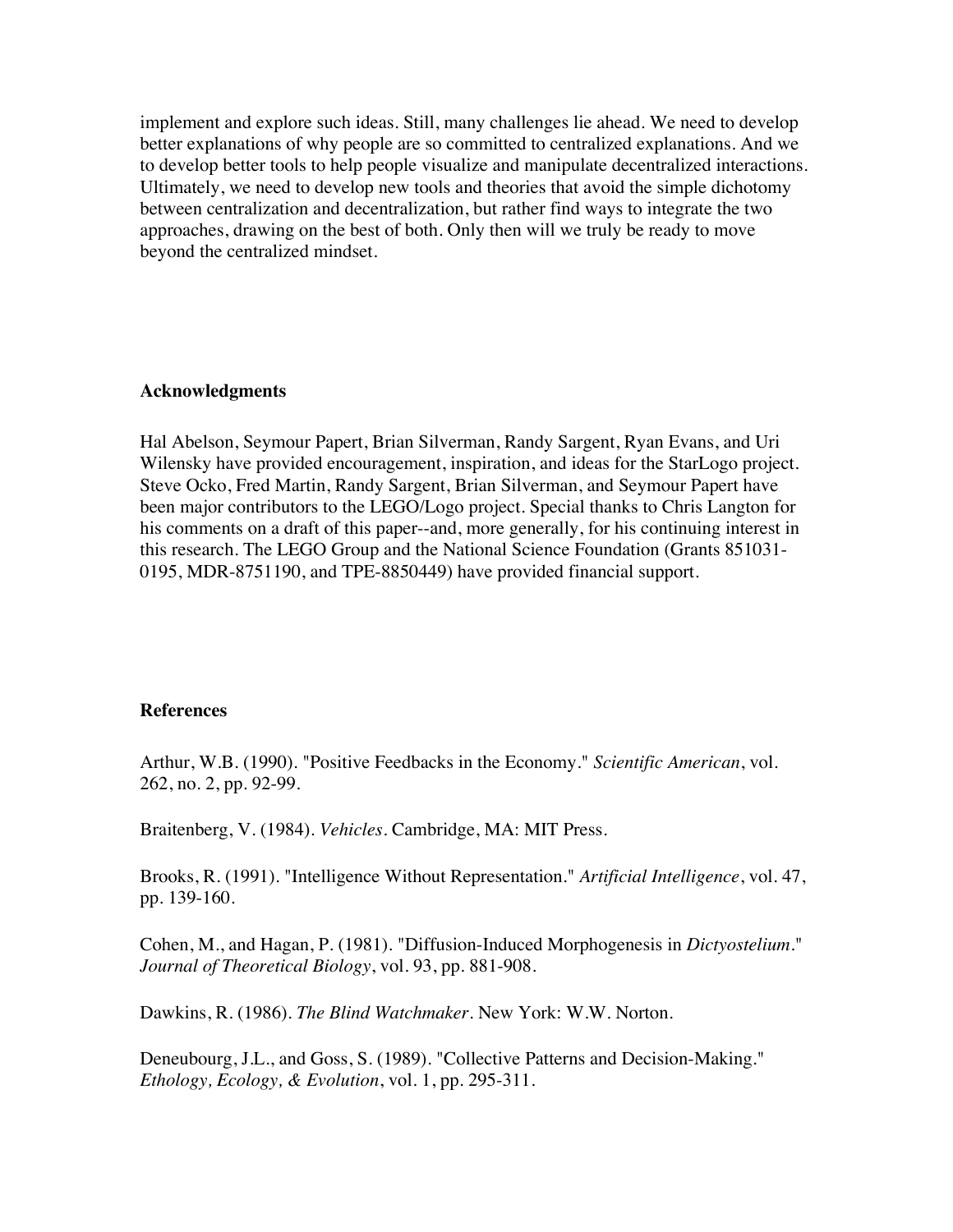implement and explore such ideas. Still, many challenges lie ahead. We need to develop better explanations of why people are so committed to centralized explanations. And we to develop better tools to help people visualize and manipulate decentralized interactions. Ultimately, we need to develop new tools and theories that avoid the simple dichotomy between centralization and decentralization, but rather find ways to integrate the two approaches, drawing on the best of both. Only then will we truly be ready to move beyond the centralized mindset.

#### **Acknowledgments**

Hal Abelson, Seymour Papert, Brian Silverman, Randy Sargent, Ryan Evans, and Uri Wilensky have provided encouragement, inspiration, and ideas for the StarLogo project. Steve Ocko, Fred Martin, Randy Sargent, Brian Silverman, and Seymour Papert have been major contributors to the LEGO/Logo project. Special thanks to Chris Langton for his comments on a draft of this paper--and, more generally, for his continuing interest in this research. The LEGO Group and the National Science Foundation (Grants 851031- 0195, MDR-8751190, and TPE-8850449) have provided financial support.

#### **References**

Arthur, W.B. (1990). "Positive Feedbacks in the Economy." *Scientific American*, vol. 262, no. 2, pp. 92-99.

Braitenberg, V. (1984). *Vehicles*. Cambridge, MA: MIT Press.

Brooks, R. (1991). "Intelligence Without Representation." *Artificial Intelligence*, vol. 47, pp. 139-160.

Cohen, M., and Hagan, P. (1981). "Diffusion-Induced Morphogenesis in *Dictyostelium*." *Journal of Theoretical Biology*, vol. 93, pp. 881-908.

Dawkins, R. (1986). *The Blind Watchmaker*. New York: W.W. Norton.

Deneubourg, J.L., and Goss, S. (1989). "Collective Patterns and Decision-Making." *Ethology, Ecology, & Evolution*, vol. 1, pp. 295-311.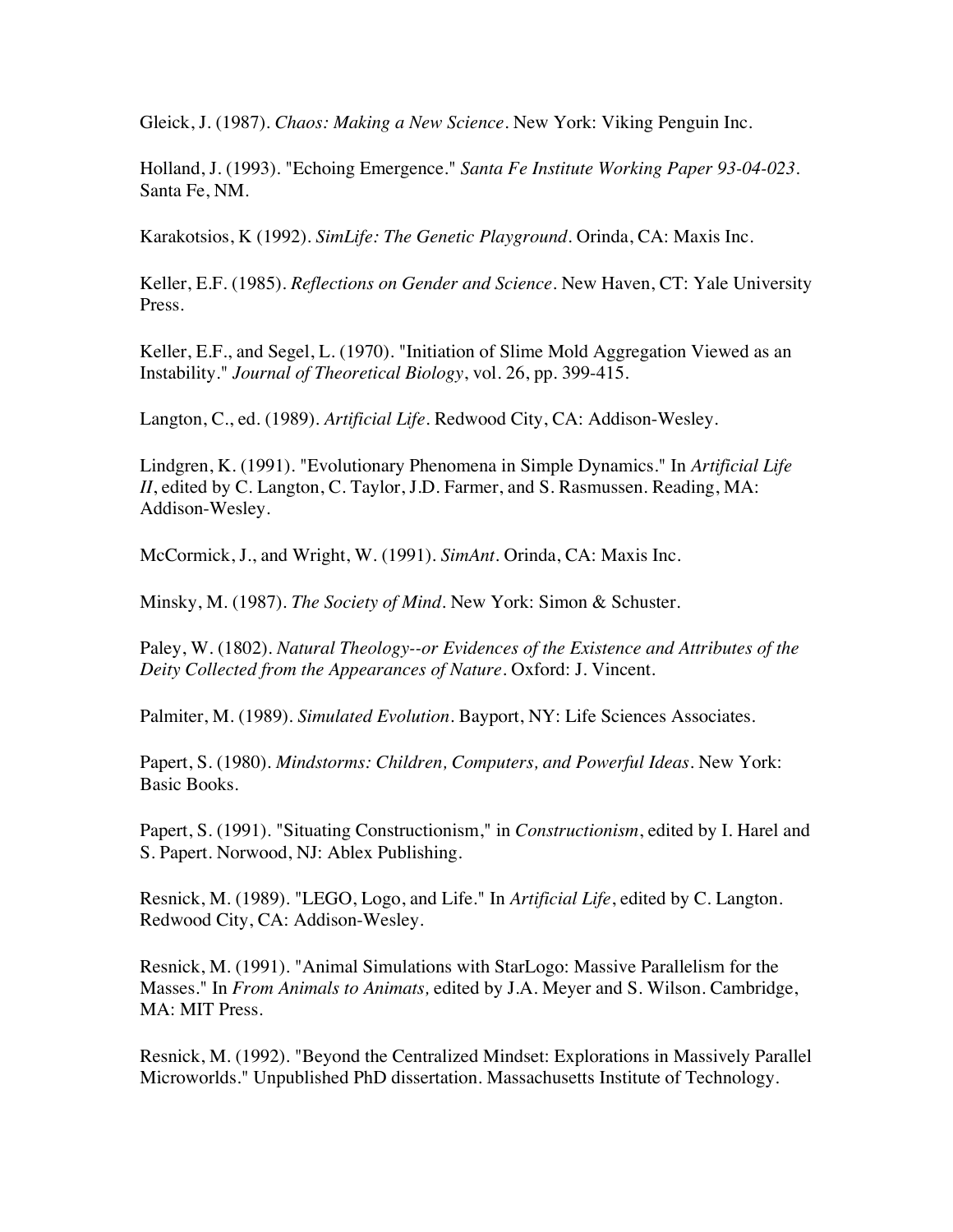Gleick, J. (1987). *Chaos: Making a New Science*. New York: Viking Penguin Inc.

Holland, J. (1993). "Echoing Emergence." *Santa Fe Institute Working Paper 93-04-023*. Santa Fe, NM.

Karakotsios, K (1992). *SimLife: The Genetic Playground*. Orinda, CA: Maxis Inc.

Keller, E.F. (1985). *Reflections on Gender and Science*. New Haven, CT: Yale University Press.

Keller, E.F., and Segel, L. (1970). "Initiation of Slime Mold Aggregation Viewed as an Instability." *Journal of Theoretical Biology*, vol. 26, pp. 399-415.

Langton, C., ed. (1989). *Artificial Life*. Redwood City, CA: Addison-Wesley.

Lindgren, K. (1991). "Evolutionary Phenomena in Simple Dynamics." In *Artificial Life II*, edited by C. Langton, C. Taylor, J.D. Farmer, and S. Rasmussen. Reading, MA: Addison-Wesley.

McCormick, J., and Wright, W. (1991). *SimAnt*. Orinda, CA: Maxis Inc.

Minsky, M. (1987). *The Society of Mind*. New York: Simon & Schuster.

Paley, W. (1802). *Natural Theology--or Evidences of the Existence and Attributes of the Deity Collected from the Appearances of Nature*. Oxford: J. Vincent.

Palmiter, M. (1989). *Simulated Evolution*. Bayport, NY: Life Sciences Associates.

Papert, S. (1980). *Mindstorms: Children, Computers, and Powerful Ideas*. New York: Basic Books.

Papert, S. (1991). "Situating Constructionism," in *Constructionism*, edited by I. Harel and S. Papert. Norwood, NJ: Ablex Publishing.

Resnick, M. (1989). "LEGO, Logo, and Life." In *Artificial Life*, edited by C. Langton. Redwood City, CA: Addison-Wesley.

Resnick, M. (1991). "Animal Simulations with StarLogo: Massive Parallelism for the Masses." In *From Animals to Animats,* edited by J.A. Meyer and S. Wilson. Cambridge, MA: MIT Press.

Resnick, M. (1992). "Beyond the Centralized Mindset: Explorations in Massively Parallel Microworlds." Unpublished PhD dissertation. Massachusetts Institute of Technology.